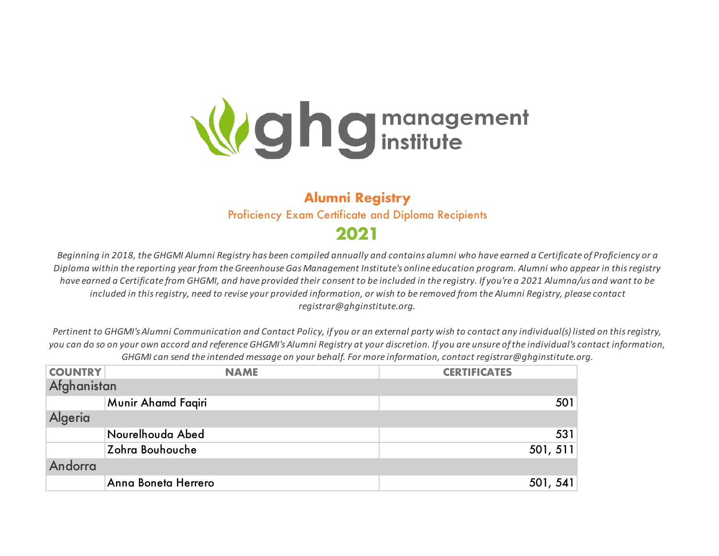

## **Alumni Registry** Proficiency Exam Certificate and Diploma Recipients **2021**

*Beginning in 2018, the GHGMI Alumni Registry has been compiled annually and contains alumni who have earned a Certificate of Proficiency or a Diploma within the reporting year from the Greenhouse Gas Management Institute's online education program. Alumni who appear in this registry have earned a Certificate from GHGMI, and have provided their consent to be included in the registry. If you're a 2021 Alumna/us and want to be included in this registry, need to revise your provided information, or wish to be removed from the Alumni Registry, please contact registrar@ghginstitute.org.*

*Pertinent to GHGMI's Alumni Communication and Contact Policy, if you or an external party wish to contact any individual(s) listed on this registry, you can do so on your own accord and reference GHGMI's Alumni Registry at your discretion. If you are unsure of the individual's contact information, GHGMI can send the intended message on your behalf. For more information, contact registrar@ghginstitute.org.* 

| <b>COUNTRY</b> | <b>NAME</b>         | <b>CERTIFICATES</b> |
|----------------|---------------------|---------------------|
| Afghanistan    |                     |                     |
|                | Munir Ahamd Faqiri  | 501                 |
| Algeria        |                     |                     |
|                | Nourelhouda Abed    | 531                 |
|                | Zohra Bouhouche     | 501, 511            |
| Andorra        |                     |                     |
|                | Anna Boneta Herrero | 501, 541            |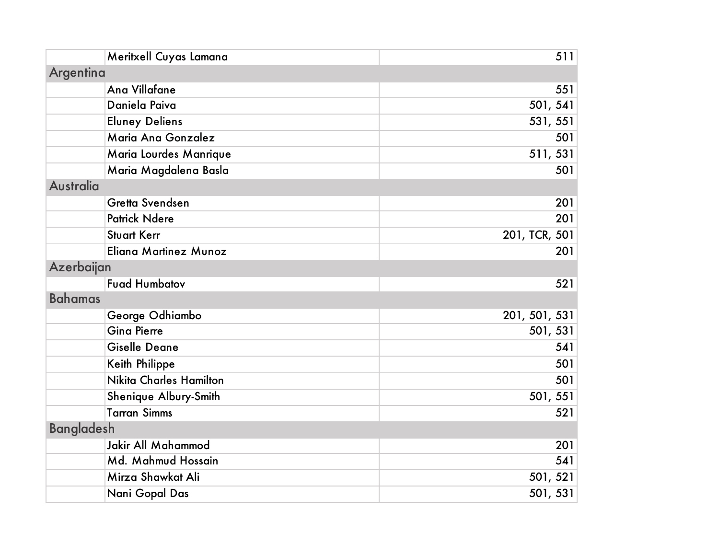| Meritxell Cuyas Lamana    | 511           |
|---------------------------|---------------|
| Argentina                 |               |
| Ana Villafane             | 551           |
| Daniela Paiva             | 501, 541      |
| <b>Eluney Deliens</b>     | 531, 551      |
| Maria Ana Gonzalez        | 501           |
| Maria Lourdes Manrique    | 511, 531      |
| Maria Magdalena Basla     | 501           |
| <b>Australia</b>          |               |
| Gretta Svendsen           | 201           |
| <b>Patrick Ndere</b>      | 201           |
| <b>Stuart Kerr</b>        | 201, TCR, 501 |
| Eliana Martinez Munoz     | 201           |
| Azerbaijan                |               |
| <b>Fuad Humbatov</b>      | 521           |
| <b>Bahamas</b>            |               |
| George Odhiambo           | 201, 501, 531 |
| <b>Gina Pierre</b>        | 501, 531      |
| <b>Giselle Deane</b>      | 541           |
| Keith Philippe            | 501           |
| Nikita Charles Hamilton   | 501           |
| Shenique Albury-Smith     | 501, 551      |
| <b>Tarran Simms</b>       | 521           |
| <b>Bangladesh</b>         |               |
| <b>Jakir All Mahammod</b> | 201           |
| Md. Mahmud Hossain        | 541           |
| Mirza Shawkat Ali         | 501, 521      |
| Nani Gopal Das            | 501, 531      |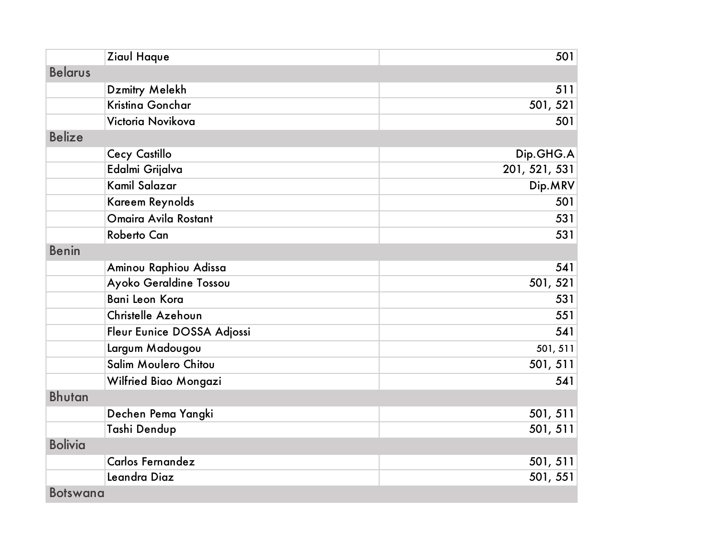| Ziaul Haque                 | 501           |
|-----------------------------|---------------|
| <b>Belarus</b>              |               |
| Dzmitry Melekh              | 511           |
| Kristina Gonchar            | 501, 521      |
| Victoria Novikova           | 501           |
| <b>Belize</b>               |               |
| Cecy Castillo               | Dip.GHG.A     |
| Edalmi Grijalva             | 201, 521, 531 |
| Kamil Salazar               | Dip.MRV       |
| Kareem Reynolds             | 501           |
| Omaira Avila Rostant        | 531           |
| <b>Roberto Can</b>          | 531           |
| <b>Benin</b>                |               |
| Aminou Raphiou Adissa       | 541           |
| Ayoko Geraldine Tossou      | 501, 521      |
| Bani Leon Kora              | 531           |
| Christelle Azehoun          | 551           |
| Fleur Eunice DOSSA Adjossi  | 541           |
| Largum Madougou             | 501, 511      |
| <b>Salim Moulero Chitou</b> | 501, 511      |
| Wilfried Biao Mongazi       | 541           |
| <b>Bhutan</b>               |               |
| Dechen Pema Yangki          | 501, 511      |
| Tashi Dendup                | 501, 511      |
| <b>Bolivia</b>              |               |
| Carlos Fernandez            | 501, 511      |
| Leandra Diaz                | 501, 551      |
| <b>Botswana</b>             |               |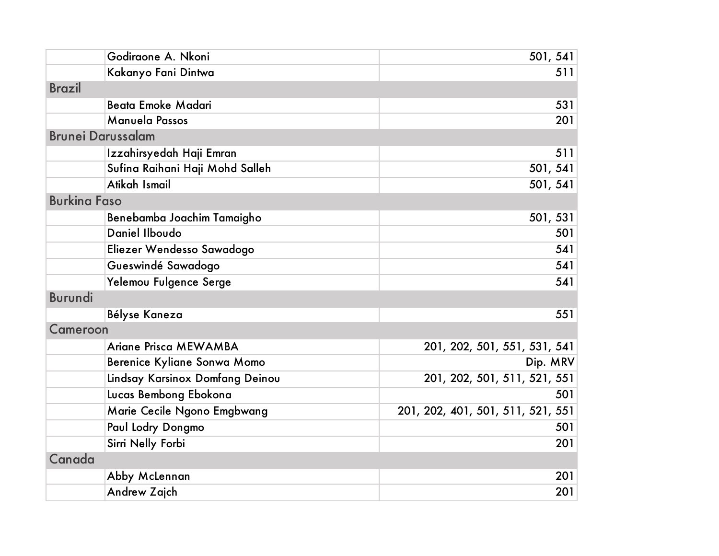| Godiraone A. Nkoni              | 501, 541                          |
|---------------------------------|-----------------------------------|
| Kakanyo Fani Dintwa             | 511                               |
| <b>Brazil</b>                   |                                   |
| <b>Beata Emoke Madari</b>       | 531                               |
| Manuela Passos                  | 201                               |
| <b>Brunei Darussalam</b>        |                                   |
| Izzahirsyedah Haji Emran        | 511                               |
| Sufina Raihani Haji Mohd Salleh | 501, 541                          |
| Atikah Ismail                   | 501, 541                          |
| <b>Burkina Faso</b>             |                                   |
| Benebamba Joachim Tamaigho      | 501, 531                          |
| Daniel Ilboudo                  | 501                               |
| Eliezer Wendesso Sawadogo       | 541                               |
| Gueswindé Sawadogo              | 541                               |
| Yelemou Fulgence Serge          | 541                               |
| <b>Burundi</b>                  |                                   |
| Bélyse Kaneza                   | 551                               |
| Cameroon                        |                                   |
| Ariane Prisca MEWAMBA           | 201, 202, 501, 551, 531, 541      |
| Berenice Kyliane Sonwa Momo     | Dip. MRV                          |
| Lindsay Karsinox Domfang Deinou | 201, 202, 501, 511, 521, 551      |
| Lucas Bembong Ebokona           | 501                               |
| Marie Cecile Ngono Emgbwang     | 201, 202, 401, 501, 511, 521, 551 |
| Paul Lodry Dongmo               | 501                               |
| Sirri Nelly Forbi               | 201                               |
| Canada                          |                                   |
| Abby McLennan                   | 201                               |
| Andrew Zajch                    | 201                               |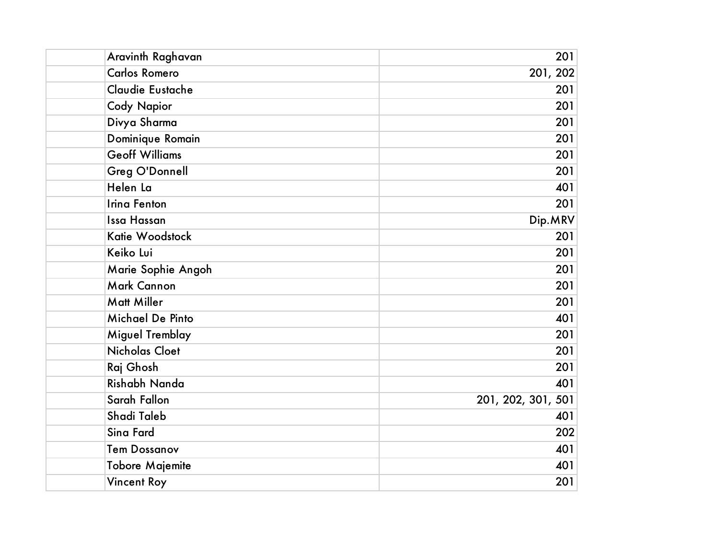| Aravinth Raghavan      | 201                |
|------------------------|--------------------|
| <b>Carlos Romero</b>   | 201, 202           |
| Claudie Eustache       | 201                |
| <b>Cody Napior</b>     | 201                |
| Divya Sharma           | 201                |
| Dominique Romain       | 201                |
| <b>Geoff Williams</b>  | 201                |
| <b>Greg O'Donnell</b>  | 201                |
| Helen La               | 401                |
| <b>Irina Fenton</b>    | 201                |
| Issa Hassan            | Dip.MRV            |
| Katie Woodstock        | 201                |
| Keiko Lui              | 201                |
| Marie Sophie Angoh     | 201                |
| <b>Mark Cannon</b>     | 201                |
| <b>Matt Miller</b>     | 201                |
| Michael De Pinto       | 401                |
| Miguel Tremblay        | 201                |
| <b>Nicholas Cloet</b>  | 201                |
| Raj Ghosh              | 201                |
| Rishabh Nanda          | 401                |
| Sarah Fallon           | 201, 202, 301, 501 |
| Shadi Taleb            | 401                |
| Sina Fard              | 202                |
| <b>Tem Dossanov</b>    | 401                |
| <b>Tobore Majemite</b> | 401                |
| <b>Vincent Roy</b>     | 201                |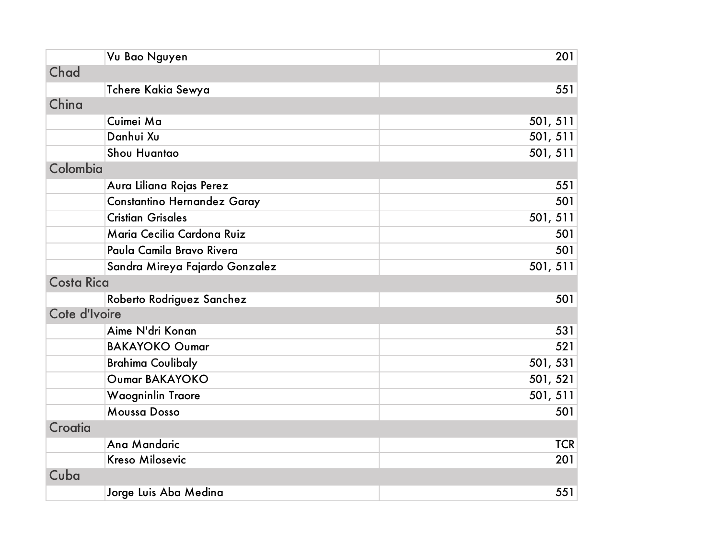|                   | Vu Bao Nguyen                  | 201        |
|-------------------|--------------------------------|------------|
| Chad              |                                |            |
|                   | Tchere Kakia Sewya             | 551        |
| China             |                                |            |
|                   | Cuimei Ma                      | 501, 511   |
|                   | Danhui Xu                      | 501, 511   |
|                   | Shou Huantao                   | 501, 511   |
| Colombia          |                                |            |
|                   | Aura Liliana Rojas Perez       | 551        |
|                   | Constantino Hernandez Garay    | 501        |
|                   | <b>Cristian Grisales</b>       | 501, 511   |
|                   | Maria Cecilia Cardona Ruiz     | 501        |
|                   | Paula Camila Bravo Rivera      | 501        |
|                   | Sandra Mireya Fajardo Gonzalez | 501, 511   |
| <b>Costa Rica</b> |                                |            |
|                   | Roberto Rodriguez Sanchez      | 501        |
| Cote d'Ivoire     |                                |            |
|                   | Aime N'dri Konan               | 531        |
|                   | <b>BAKAYOKO Oumar</b>          | 521        |
|                   | <b>Brahima Coulibaly</b>       | 501, 531   |
|                   | Oumar BAKAYOKO                 | 501, 521   |
|                   | Waogninlin Traore              | 501, 511   |
|                   | <b>Moussa Dosso</b>            | 501        |
| Croatia           |                                |            |
|                   | Ana Mandaric                   | <b>TCR</b> |
|                   | <b>Kreso Milosevic</b>         | 201        |
| Cuba              |                                |            |
|                   | Jorge Luis Aba Medina          | 551        |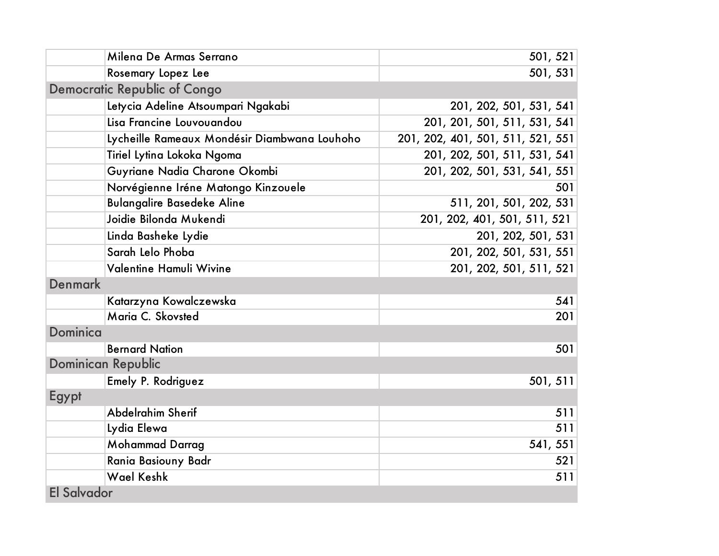| Milena De Armas Serrano                      | 501, 521                          |
|----------------------------------------------|-----------------------------------|
| Rosemary Lopez Lee                           | 501, 531                          |
| <b>Democratic Republic of Congo</b>          |                                   |
| Letycia Adeline Atsoumpari Ngakabi           | 201, 202, 501, 531, 541           |
| Lisa Francine Louvouandou                    | 201, 201, 501, 511, 531, 541      |
| Lycheille Rameaux Mondésir Diambwana Louhoho | 201, 202, 401, 501, 511, 521, 551 |
| Tiriel Lytina Lokoka Ngoma                   | 201, 202, 501, 511, 531, 541      |
| Guyriane Nadia Charone Okombi                | 201, 202, 501, 531, 541, 551      |
| Norvégienne Iréne Matongo Kinzouele          | 501                               |
| <b>Bulangalire Basedeke Aline</b>            | 511, 201, 501, 202, 531           |
| Joidie Bilonda Mukendi                       | 201, 202, 401, 501, 511, 521      |
| Linda Basheke Lydie                          | 201, 202, 501, 531                |
| Sarah Lelo Phoba                             | 201, 202, 501, 531, 551           |
| Valentine Hamuli Wivine                      | 201, 202, 501, 511, 521           |
| <b>Denmark</b>                               |                                   |
| Katarzyna Kowalczewska                       | 541                               |
| Maria C. Skovsted                            | 201                               |
| Dominica                                     |                                   |
| <b>Bernard Nation</b>                        | 501                               |
| <b>Dominican Republic</b>                    |                                   |
| Emely P. Rodriguez                           | 501, 511                          |
| Egypt                                        |                                   |
| Abdelrahim Sherif                            | 511                               |
| Lydia Elewa                                  | 511                               |
| <b>Mohammad Darrag</b>                       | 541, 551                          |
| Rania Basiouny Badr                          | 521                               |
| <b>Wael Keshk</b>                            | 511                               |
| <b>El Salvador</b>                           |                                   |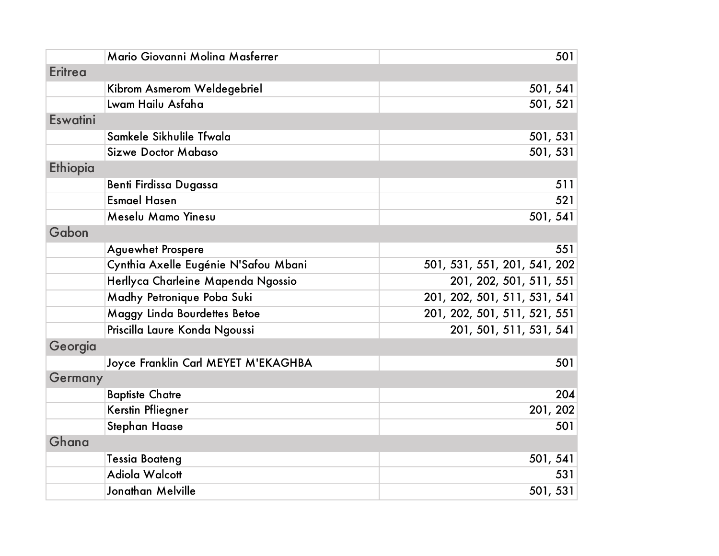|                | Mario Giovanni Molina Masferrer      | 501                          |
|----------------|--------------------------------------|------------------------------|
| <b>Eritrea</b> |                                      |                              |
|                | Kibrom Asmerom Weldegebriel          | 501, 541                     |
|                | Lwam Hailu Asfaha                    | 501, 521                     |
| Eswatini       |                                      |                              |
|                | Samkele Sikhulile Tfwala             | 501, 531                     |
|                | <b>Sizwe Doctor Mabaso</b>           | 501, 531                     |
| Ethiopia       |                                      |                              |
|                | <b>Benti Firdissa Dugassa</b>        | 511                          |
|                | <b>Esmael Hasen</b>                  | 521                          |
|                | Meselu Mamo Yinesu                   | 501, 541                     |
| Gabon          |                                      |                              |
|                | <b>Aguewhet Prospere</b>             | 551                          |
|                | Cynthia Axelle Eugénie N'Safou Mbani | 501, 531, 551, 201, 541, 202 |
|                | Herllyca Charleine Mapenda Ngossio   | 201, 202, 501, 511, 551      |
|                | Madhy Petronique Poba Suki           | 201, 202, 501, 511, 531, 541 |
|                | Maggy Linda Bourdettes Betoe         | 201, 202, 501, 511, 521, 551 |
|                | Priscilla Laure Konda Ngoussi        | 201, 501, 511, 531, 541      |
| Georgia        |                                      |                              |
|                | Joyce Franklin Carl MEYET M'EKAGHBA  | 501                          |
| Germany        |                                      |                              |
|                | <b>Baptiste Chatre</b>               | 204                          |
|                | Kerstin Pfliegner                    | 201, 202                     |
|                | Stephan Haase                        | 501                          |
| Ghana          |                                      |                              |
|                | <b>Tessia Boateng</b>                | 501, 541                     |
|                | Adiola Walcott                       | 531                          |
|                | Jonathan Melville                    | 501, 531                     |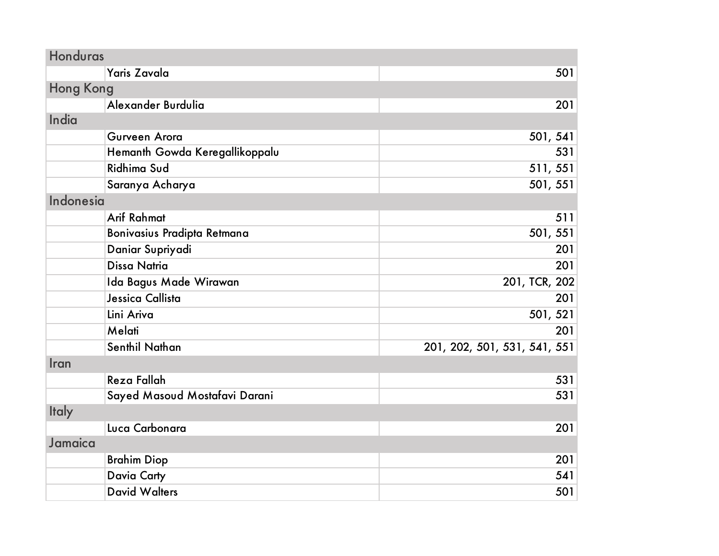| Honduras         |                                |                              |
|------------------|--------------------------------|------------------------------|
|                  | Yaris Zavala                   | 501                          |
| <b>Hong Kong</b> |                                |                              |
|                  | Alexander Burdulia             | 201                          |
| India            |                                |                              |
|                  | Gurveen Arora                  | 501, 541                     |
|                  | Hemanth Gowda Keregallikoppalu | 531                          |
|                  | <b>Ridhima Sud</b>             | 511, 551                     |
|                  | Saranya Acharya                | 501, 551                     |
| <b>Indonesia</b> |                                |                              |
|                  | <b>Arif Rahmat</b>             | 511                          |
|                  | Bonivasius Pradipta Retmana    | 501, 551                     |
|                  | Daniar Supriyadi               | 201                          |
|                  | <b>Dissa Natria</b>            | 201                          |
|                  | Ida Bagus Made Wirawan         | 201, TCR, 202                |
|                  | Jessica Callista               | 201                          |
|                  | Lini Ariva                     | 501, 521                     |
|                  | Melati                         | 201                          |
|                  | <b>Senthil Nathan</b>          | 201, 202, 501, 531, 541, 551 |
| Iran             |                                |                              |
|                  | Reza Fallah                    | 531                          |
|                  | Sayed Masoud Mostafavi Darani  | 531                          |
| <b>Italy</b>     |                                |                              |
|                  | Luca Carbonara                 | 201                          |
| Jamaica          |                                |                              |
|                  | <b>Brahim Diop</b>             | 201                          |
|                  | <b>Davia Carty</b>             | 541                          |
|                  | <b>David Walters</b>           | 501                          |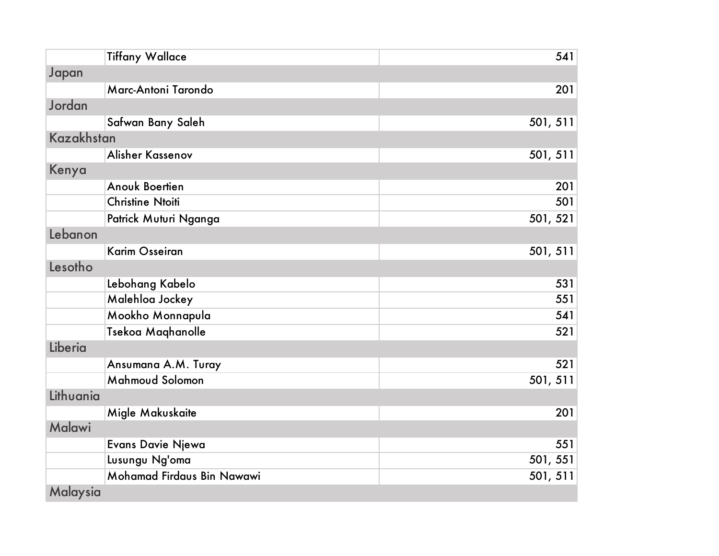| <b>Tiffany Wallace</b>     | 541      |
|----------------------------|----------|
| Japan                      |          |
| Marc-Antoni Tarondo        | 201      |
| Jordan                     |          |
| Safwan Bany Saleh          | 501, 511 |
| Kazakhstan                 |          |
| Alisher Kassenov           | 501, 511 |
| Kenya                      |          |
| <b>Anouk Boertien</b>      | 201      |
| <b>Christine Ntoiti</b>    | 501      |
| Patrick Muturi Nganga      | 501, 521 |
| Lebanon                    |          |
| <b>Karim Osseiran</b>      | 501, 511 |
| Lesotho                    |          |
| Lebohang Kabelo            | 531      |
| Malehloa Jockey            | 551      |
| Mookho Monnapula           | 541      |
| Tsekoa Maghanolle          | 521      |
| Liberia                    |          |
| Ansumana A.M. Turay        | 521      |
| Mahmoud Solomon            | 501, 511 |
| Lithuania                  |          |
| Migle Makuskaite           | 201      |
| <b>Malawi</b>              |          |
| Evans Davie Njewa          | 551      |
| Lusungu Ng'oma             | 501, 551 |
| Mohamad Firdaus Bin Nawawi | 501, 511 |
| Malaysia                   |          |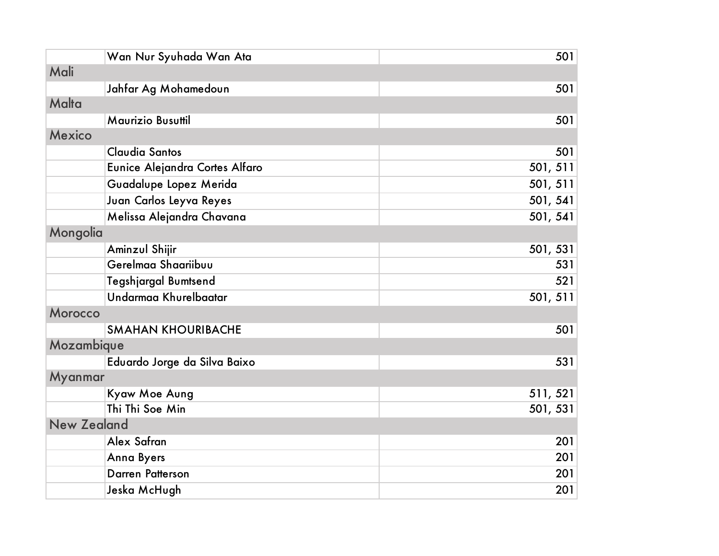| Wan Nur Syuhada Wan Ata        | 501      |  |
|--------------------------------|----------|--|
| Mali                           |          |  |
| Jahfar Ag Mohamedoun           | 501      |  |
| Malta                          |          |  |
| Maurizio Busuttil              | 501      |  |
| <b>Mexico</b>                  |          |  |
| <b>Claudia Santos</b>          | 501      |  |
| Eunice Alejandra Cortes Alfaro | 501, 511 |  |
| Guadalupe Lopez Merida         | 501, 511 |  |
| Juan Carlos Leyva Reyes        | 501, 541 |  |
| Melissa Alejandra Chavana      | 501, 541 |  |
| Mongolia                       |          |  |
| Aminzul Shijir                 | 501, 531 |  |
| Gerelmaa Shaariibuu            | 531      |  |
| Tegshjargal Bumtsend           | 521      |  |
| Undarmaa Khurelbaatar          | 501, 511 |  |
| <b>Morocco</b>                 |          |  |
| <b>SMAHAN KHOURIBACHE</b>      | 501      |  |
| Mozambique                     |          |  |
| Eduardo Jorge da Silva Baixo   | 531      |  |
| Myanmar                        |          |  |
| Kyaw Moe Aung                  | 511, 521 |  |
| Thi Thi Soe Min                | 501, 531 |  |
| <b>New Zealand</b>             |          |  |
| Alex Safran                    | 201      |  |
| <b>Anna Byers</b>              | 201      |  |
| <b>Darren Patterson</b>        | 201      |  |
| Jeska McHugh                   | 201      |  |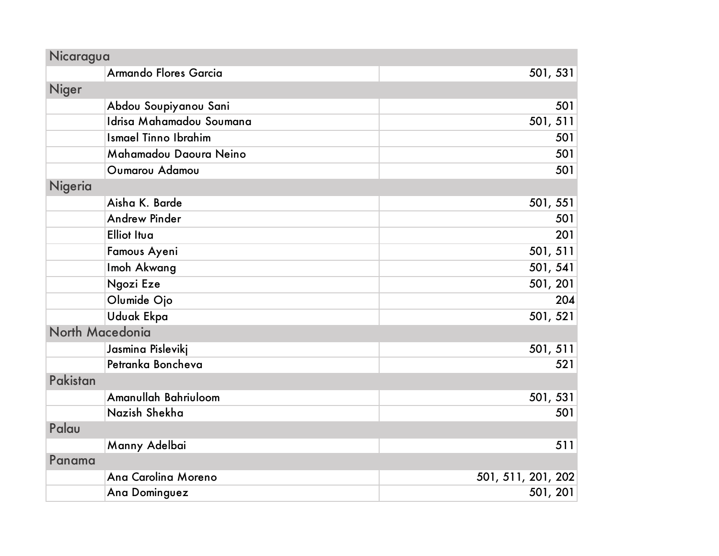| Nicaragua                   |                    |  |
|-----------------------------|--------------------|--|
| Armando Flores Garcia       | 501, 531           |  |
| Niger                       |                    |  |
| Abdou Soupiyanou Sani       | 501                |  |
| Idrisa Mahamadou Soumana    | 501, 511           |  |
| <b>Ismael Tinno Ibrahim</b> | 501                |  |
| Mahamadou Daoura Neino      | 501                |  |
| Oumarou Adamou              | 501                |  |
| Nigeria                     |                    |  |
| Aisha K. Barde              | 501, 551           |  |
| <b>Andrew Pinder</b>        | 501                |  |
| <b>Elliot Itua</b>          | 201                |  |
| Famous Ayeni                | 501, 511           |  |
| Imoh Akwang                 | 501, 541           |  |
| Ngozi Eze                   | 501, 201           |  |
| Olumide Ojo                 | 204                |  |
| <b>Uduak Ekpa</b>           | 501, 521           |  |
| North Macedonia             |                    |  |
| Jasmina Pislevikj           | 501, 511           |  |
| Petranka Boncheva           | 521                |  |
| Pakistan                    |                    |  |
| Amanullah Bahriuloom        | 501, 531           |  |
| Nazish Shekha               | 501                |  |
| Palau                       |                    |  |
| Manny Adelbai               | 511                |  |
| Panama                      |                    |  |
| Ana Carolina Moreno         | 501, 511, 201, 202 |  |
| Ana Dominguez               | 501, 201           |  |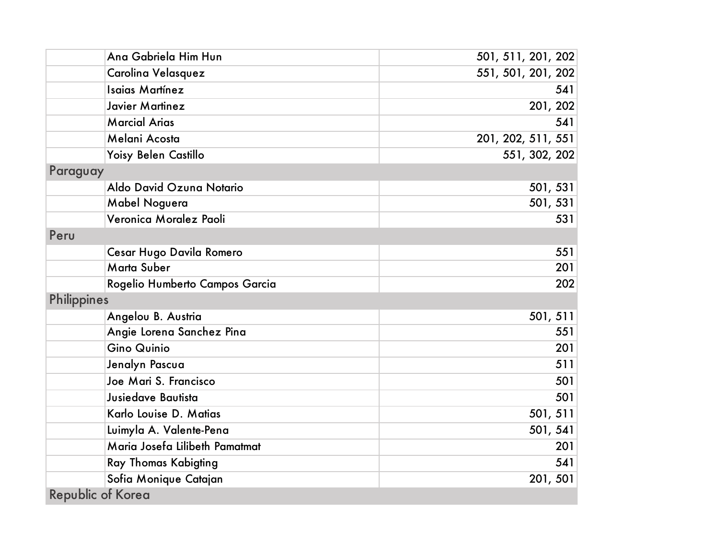| Ana Gabriela Him Hun           | 501, 511, 201, 202 |
|--------------------------------|--------------------|
| Carolina Velasquez             | 551, 501, 201, 202 |
| <b>Isaias Martínez</b>         | 541                |
| Javier Martinez                | 201, 202           |
| <b>Marcial Arias</b>           | 541                |
| Melani Acosta                  | 201, 202, 511, 551 |
| Yoisy Belen Castillo           | 551, 302, 202      |
| Paraguay                       |                    |
| Aldo David Ozuna Notario       | 501, 531           |
| Mabel Noguera                  | 501, 531           |
| Veronica Moralez Paoli         | 531                |
| Peru                           |                    |
| Cesar Hugo Davila Romero       | 551                |
| Marta Suber                    | 201                |
| Rogelio Humberto Campos Garcia | 202                |
| <b>Philippines</b>             |                    |
| Angelou B. Austria             | 501, 511           |
| Angie Lorena Sanchez Pina      | 551                |
| <b>Gino Quinio</b>             | 201                |
| Jenalyn Pascua                 | 511                |
| Joe Mari S. Francisco          | 501                |
| Jusiedave Bautista             | 501                |
| Karlo Louise D. Matias         | 501, 511           |
| Luimyla A. Valente-Pena        | 501, 541           |
| Maria Josefa Lilibeth Pamatmat | 201                |
| Ray Thomas Kabigting           | 541                |
| Sofia Monique Catajan          | 201, 501           |
| <b>Republic of Korea</b>       |                    |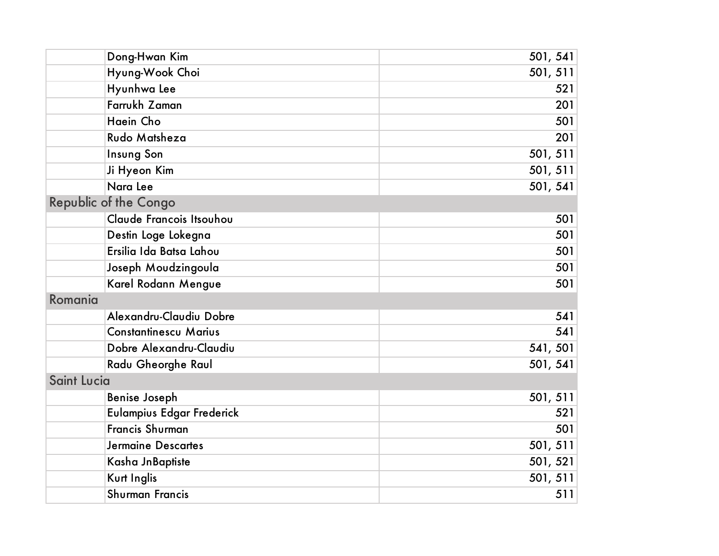| Dong-Hwan Kim                | 501, 541 |
|------------------------------|----------|
| Hyung-Wook Choi              | 501, 511 |
| Hyunhwa Lee                  | 521      |
| Farrukh Zaman                | 201      |
| Haein Cho                    | 501      |
| Rudo Matsheza                | 201      |
| Insung Son                   | 501, 511 |
| Ji Hyeon Kim                 | 501, 511 |
| Nara Lee                     | 501, 541 |
| <b>Republic of the Congo</b> |          |
| Claude Francois Itsouhou     | 501      |
| Destin Loge Lokegna          | 501      |
| Ersilia Ida Batsa Lahou      | 501      |
| Joseph Moudzingoula          | 501      |
| Karel Rodann Mengue          | 501      |
| Romania                      |          |
| Alexandru-Claudiu Dobre      | 541      |
| <b>Constantinescu Marius</b> | 541      |
| Dobre Alexandru-Claudiu      | 541, 501 |
| Radu Gheorghe Raul           | 501, 541 |
| <b>Saint Lucia</b>           |          |
| <b>Benise Joseph</b>         | 501, 511 |
| Eulampius Edgar Frederick    | 521      |
| <b>Francis Shurman</b>       | 501      |
| <b>Jermaine Descartes</b>    | 501, 511 |
| Kasha JnBaptiste             | 501, 521 |
| Kurt Inglis                  | 501, 511 |
| <b>Shurman Francis</b>       | 511      |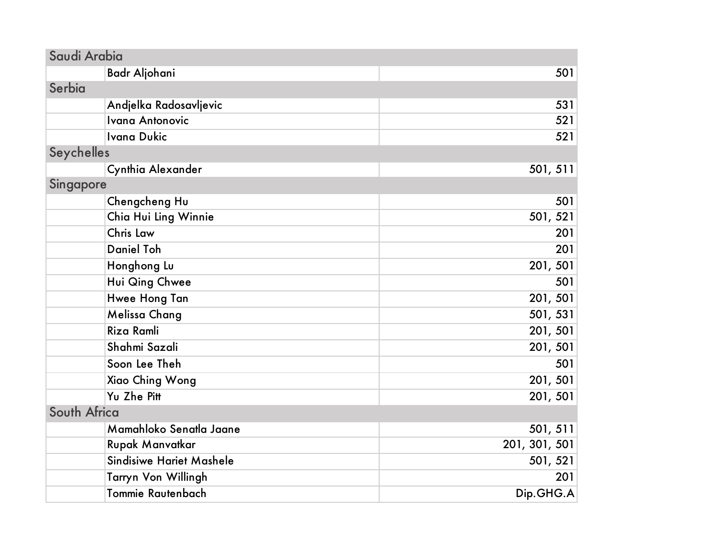| Saudi Arabia                    |               |
|---------------------------------|---------------|
| <b>Badr Aljohani</b>            | 501           |
| Serbia                          |               |
| Andjelka Radosavljevic          | 531           |
| <b>Ivana Antonovic</b>          | 521           |
| <b>Ivana Dukic</b>              | 521           |
| Seychelles                      |               |
| Cynthia Alexander               | 501, 511      |
| Singapore                       |               |
| Chengcheng Hu                   | 501           |
| Chia Hui Ling Winnie            | 501, 521      |
| Chris Law                       | 201           |
| <b>Daniel Toh</b>               | 201           |
| Honghong Lu                     | 201, 501      |
| Hui Qing Chwee                  | 501           |
| Hwee Hong Tan                   | 201, 501      |
| Melissa Chang                   | 501, 531      |
| Riza Ramli                      | 201, 501      |
| Shahmi Sazali                   | 201, 501      |
| Soon Lee Theh                   | 501           |
| Xiao Ching Wong                 | 201, 501      |
| Yu Zhe Pitt                     | 201, 501      |
| South Africa                    |               |
| Mamahloko Senatla Jaane         | 501, 511      |
| Rupak Manvatkar                 | 201, 301, 501 |
| <b>Sindisiwe Hariet Mashele</b> | 501, 521      |
| Tarryn Von Willingh             | 201           |
| <b>Tommie Rautenbach</b>        | Dip.GHG.A     |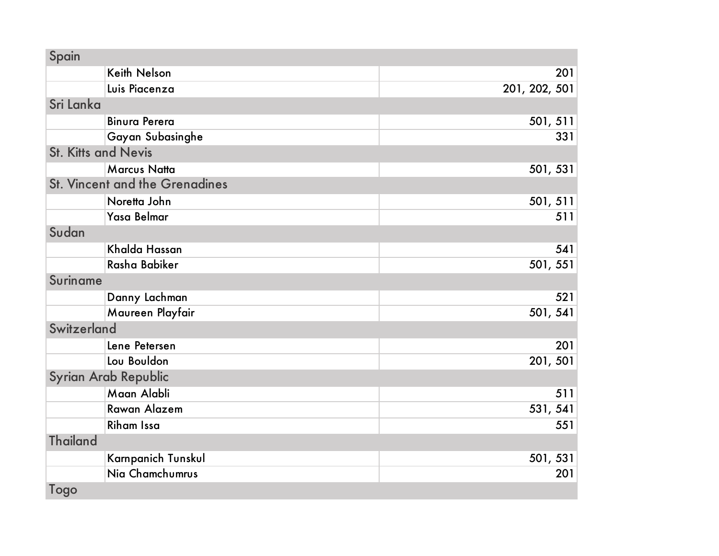| Spain                                 |               |
|---------------------------------------|---------------|
| <b>Keith Nelson</b>                   | 201           |
| Luis Piacenza                         | 201, 202, 501 |
| Sri Lanka                             |               |
| <b>Binura Perera</b>                  | 501, 511      |
| Gayan Subasinghe                      | 331           |
| <b>St. Kitts and Nevis</b>            |               |
| <b>Marcus Natta</b>                   | 501, 531      |
| <b>St. Vincent and the Grenadines</b> |               |
| Noretta John                          | 501, 511      |
| Yasa Belmar                           | 511           |
| Sudan                                 |               |
| Khalda Hassan                         | 541           |
| Rasha Babiker                         | 501, 551      |
| <b>Suriname</b>                       |               |
| Danny Lachman                         | 521           |
| Maureen Playfair                      | 501, 541      |
| Switzerland                           |               |
| Lene Petersen                         | 201           |
| Lou Bouldon                           | 201, 501      |
| Syrian Arab Republic                  |               |
| Maan Alabli                           | 511           |
| Rawan Alazem                          | 531, 541      |
| <b>Riham Issa</b>                     | 551           |
| <b>Thailand</b>                       |               |
| Karnpanich Tunskul                    | 501, 531      |
| Nia Chamchumrus                       | 201           |
| Togo                                  |               |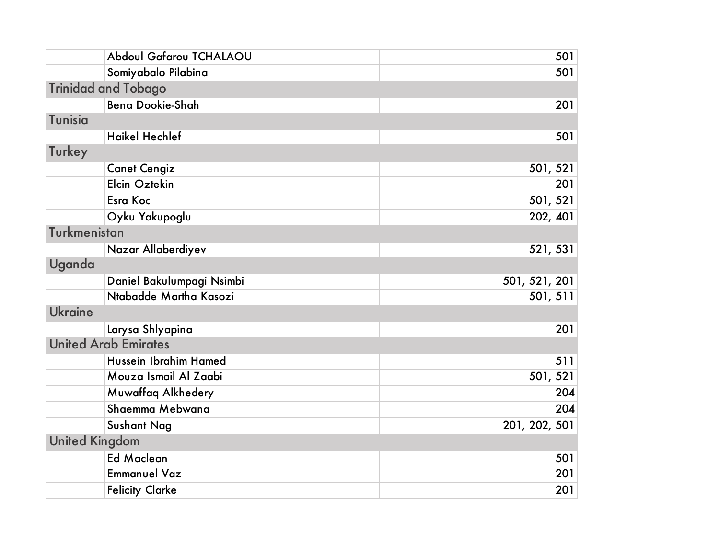| Abdoul Gafarou TCHALAOU     | 501           |
|-----------------------------|---------------|
| Somiyabalo Pilabina         | 501           |
| <b>Trinidad and Tobago</b>  |               |
| <b>Bena Dookie-Shah</b>     | 201           |
| <b>Tunisia</b>              |               |
| <b>Haikel Hechlef</b>       | 501           |
| Turkey                      |               |
| <b>Canet Cengiz</b>         | 501, 521      |
| Elcin Oztekin               | 201           |
| <b>Esra Koc</b>             | 501, 521      |
| Oyku Yakupoglu              | 202, 401      |
| Turkmenistan                |               |
| Nazar Allaberdiyev          | 521, 531      |
| Uganda                      |               |
| Daniel Bakulumpagi Nsimbi   | 501, 521, 201 |
| Ntabadde Martha Kasozi      | 501, 511      |
| <b>Ukraine</b>              |               |
| Larysa Shlyapina            | 201           |
| <b>United Arab Emirates</b> |               |
| Hussein Ibrahim Hamed       | 511           |
| Mouza Ismail Al Zaabi       | 501, 521      |
| Muwaffaq Alkhedery          | 204           |
| Shaemma Mebwana             | 204           |
| <b>Sushant Nag</b>          | 201, 202, 501 |
| <b>United Kingdom</b>       |               |
| <b>Ed Maclean</b>           | 501           |
| <b>Emmanuel Vaz</b>         | 201           |
| <b>Felicity Clarke</b>      | 201           |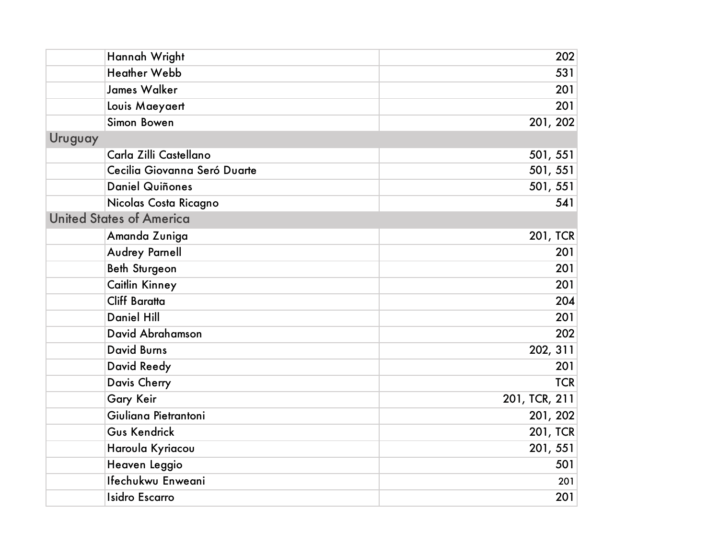| Hannah Wright                   | 202             |
|---------------------------------|-----------------|
| <b>Heather Webb</b>             | 531             |
| <b>James Walker</b>             | 201             |
| Louis Maeyaert                  | 201             |
| Simon Bowen                     | 201, 202        |
| Uruguay                         |                 |
| Carla Zilli Castellano          | 501, 551        |
| Cecilia Giovanna Seró Duarte    | 501, 551        |
| <b>Daniel Quiñones</b>          | 501, 551        |
| Nicolas Costa Ricagno           | 541             |
| <b>United States of America</b> |                 |
| Amanda Zuniga                   | <b>201, TCR</b> |
| Audrey Parnell                  | 201             |
| <b>Beth Sturgeon</b>            | 201             |
| Caitlin Kinney                  | 201             |
| <b>Cliff Baratta</b>            | 204             |
| <b>Daniel Hill</b>              | 201             |
| David Abrahamson                | 202             |
| <b>David Burns</b>              | 202, 311        |
| David Reedy                     | 201             |
| Davis Cherry                    | <b>TCR</b>      |
| Gary Keir                       | 201, TCR, 211   |
| Giuliana Pietrantoni            | 201, 202        |
| Gus Kendrick                    | <b>201, TCR</b> |
| Haroula Kyriacou                | 201, 551        |
| Heaven Leggio                   | 501             |
| Ifechukwu Enweani               | 201             |
| <b>Isidro Escarro</b>           | 201             |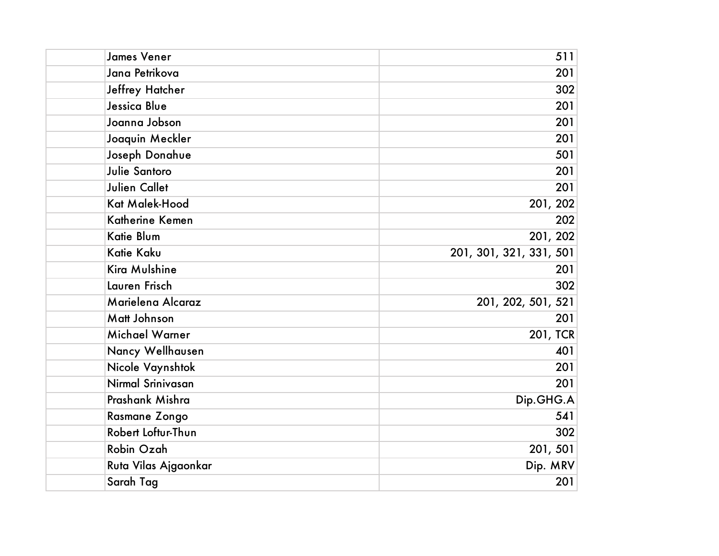| <b>James Vener</b>   | 511                     |
|----------------------|-------------------------|
| Jana Petrikova       | 201                     |
| Jeffrey Hatcher      | 302                     |
| Jessica Blue         | 201                     |
| Joanna Jobson        | 201                     |
| Joaquin Meckler      | 201                     |
| Joseph Donahue       | 501                     |
| Julie Santoro        | 201                     |
| <b>Julien Callet</b> | 201                     |
| Kat Malek-Hood       | 201, 202                |
| Katherine Kemen      | 202                     |
| Katie Blum           | 201, 202                |
| Katie Kaku           | 201, 301, 321, 331, 501 |
| Kira Mulshine        | 201                     |
| Lauren Frisch        | 302                     |
| Marielena Alcaraz    | 201, 202, 501, 521      |
| Matt Johnson         | 201                     |
| Michael Warner       | 201, TCR                |
| Nancy Wellhausen     | 401                     |
| Nicole Vaynshtok     | 201                     |
| Nirmal Srinivasan    | 201                     |
| Prashank Mishra      | Dip.GHG.A               |
| Rasmane Zongo        | 541                     |
| Robert Loftur-Thun   | 302                     |
| Robin Ozah           | 201, 501                |
| Ruta Vilas Ajgaonkar | Dip. MRV                |
| Sarah Tag            | 201                     |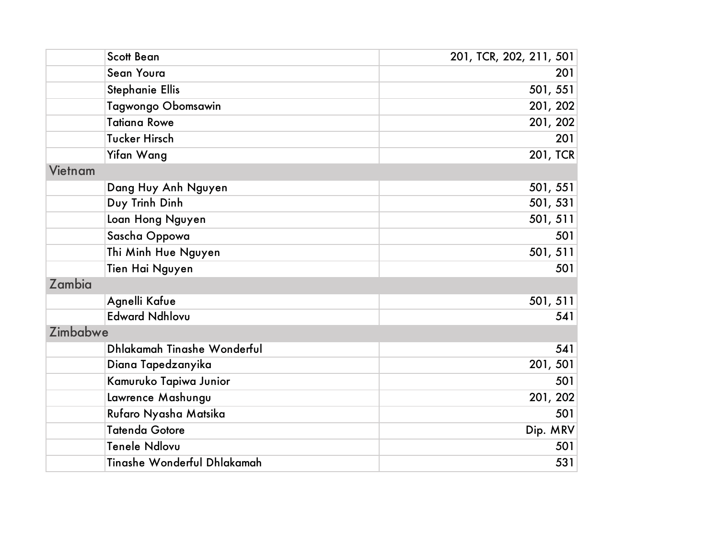| <b>Scott Bean</b>           | 201, TCR, 202, 211, 501 |
|-----------------------------|-------------------------|
| Sean Youra                  | 201                     |
| <b>Stephanie Ellis</b>      | 501, 551                |
| Tagwongo Obomsawin          | 201, 202                |
| <b>Tatiana Rowe</b>         | 201, 202                |
| <b>Tucker Hirsch</b>        | 201                     |
| Yifan Wang                  | 201, TCR                |
| Vietnam                     |                         |
| Dang Huy Anh Nguyen         | 501, 551                |
| Duy Trinh Dinh              | 501, 531                |
| Loan Hong Nguyen            | 501, 511                |
| Sascha Oppowa               | 501                     |
| Thi Minh Hue Nguyen         | 501, 511                |
| Tien Hai Nguyen             | 501                     |
| Zambia                      |                         |
| Agnelli Kafue               | 501, 511                |
| <b>Edward Ndhlovu</b>       | 541                     |
| Zimbabwe                    |                         |
| Dhlakamah Tinashe Wonderful | 541                     |
| Diana Tapedzanyika          | 201, 501                |
| Kamuruko Tapiwa Junior      | 501                     |
| Lawrence Mashungu           | 201, 202                |
| Rufaro Nyasha Matsika       | 501                     |
| <b>Tatenda Gotore</b>       | Dip. MRV                |
| Tenele Ndlovu               | 501                     |
| Tinashe Wonderful Dhlakamah | 531                     |